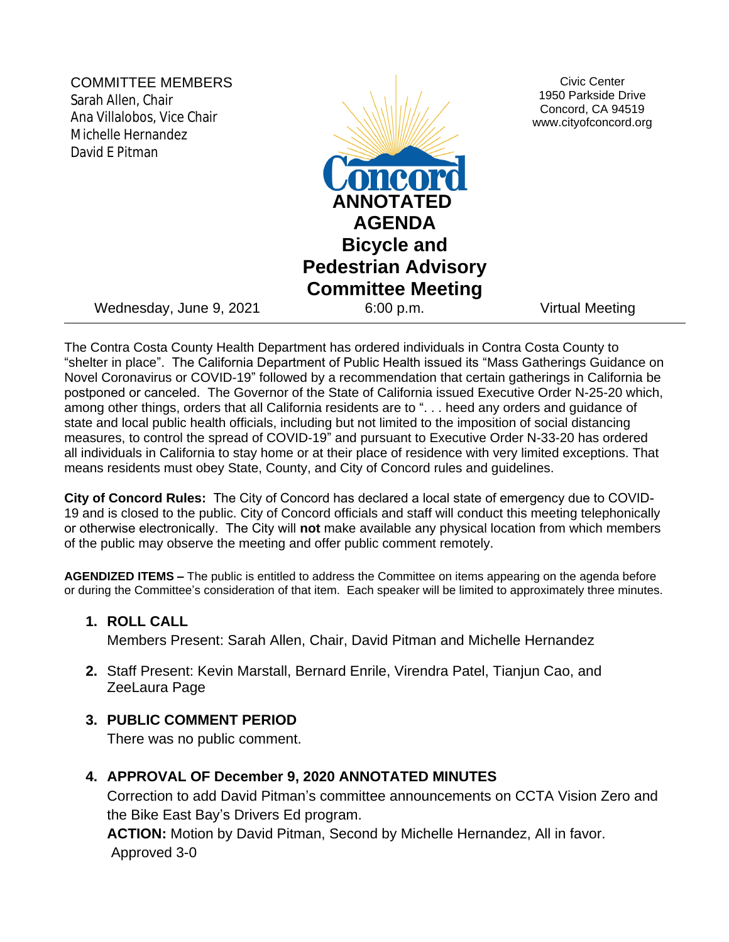COMMITTEE MEMBERS Sarah Allen, Chair Ana Villalobos, Vice Chair Michelle Hernandez David E Pitman



Civic Center 1950 Parkside Drive Concord, CA 94519 www.cityofconcord.org

Wednesday, June 9, 2021 6:00 p.m. Virtual Meeting

The Contra Costa County Health Department has ordered individuals in Contra Costa County to "shelter in place". The California Department of Public Health issued its "Mass Gatherings Guidance on Novel Coronavirus or COVID-19" followed by a recommendation that certain gatherings in California be postponed or canceled. The Governor of the State of California issued Executive Order N-25-20 which, among other things, orders that all California residents are to ". . . heed any orders and guidance of state and local public health officials, including but not limited to the imposition of social distancing measures, to control the spread of COVID-19" and pursuant to Executive Order N-33-20 has ordered all individuals in California to stay home or at their place of residence with very limited exceptions. That means residents must obey State, County, and City of Concord rules and guidelines.

**City of Concord Rules:** The City of Concord has declared a local state of emergency due to COVID-19 and is closed to the public. City of Concord officials and staff will conduct this meeting telephonically or otherwise electronically. The City will **not** make available any physical location from which members of the public may observe the meeting and offer public comment remotely.

**AGENDIZED ITEMS –** The public is entitled to address the Committee on items appearing on the agenda before or during the Committee's consideration of that item. Each speaker will be limited to approximately three minutes.

# **1. ROLL CALL**

Members Present: Sarah Allen, Chair, David Pitman and Michelle Hernandez

**2.** Staff Present: Kevin Marstall, Bernard Enrile, Virendra Patel, Tianjun Cao, and ZeeLaura Page

## **3. PUBLIC COMMENT PERIOD**

There was no public comment.

## **4. APPROVAL OF December 9, 2020 ANNOTATED MINUTES**

Correction to add David Pitman's committee announcements on CCTA Vision Zero and the Bike East Bay's Drivers Ed program.

**ACTION:** Motion by David Pitman, Second by Michelle Hernandez, All in favor. Approved 3-0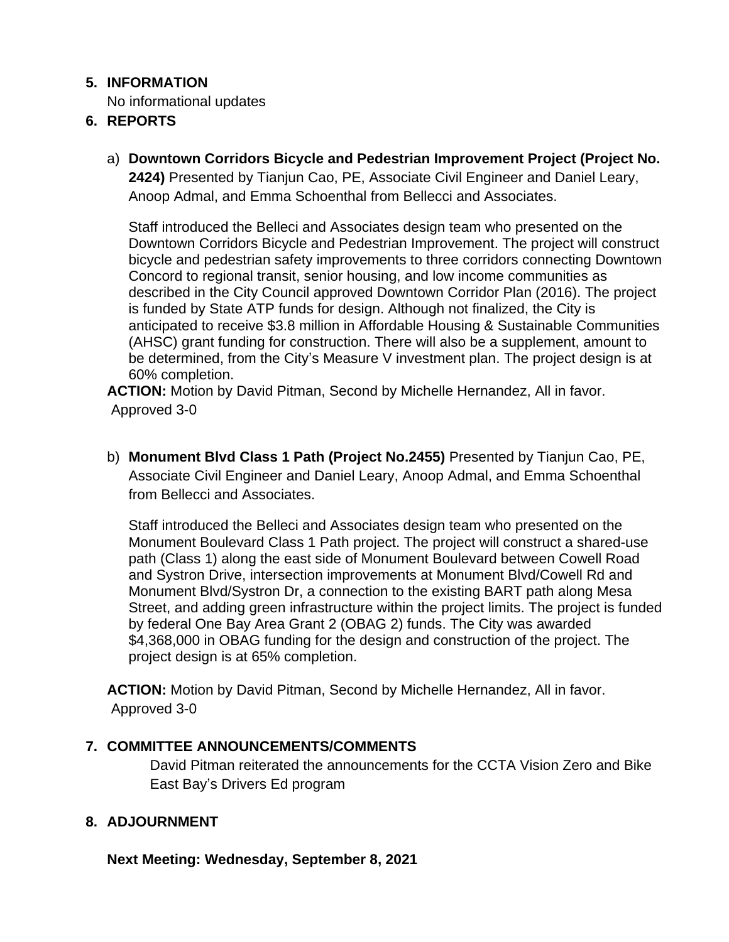# **5. INFORMATION**

No informational updates

# **6. REPORTS**

a) **Downtown Corridors Bicycle and Pedestrian Improvement Project (Project No. 2424)** Presented by Tianjun Cao, PE, Associate Civil Engineer and Daniel Leary, Anoop Admal, and Emma Schoenthal from Bellecci and Associates.

Staff introduced the Belleci and Associates design team who presented on the Downtown Corridors Bicycle and Pedestrian Improvement. The project will construct bicycle and pedestrian safety improvements to three corridors connecting Downtown Concord to regional transit, senior housing, and low income communities as described in the City Council approved Downtown Corridor Plan (2016). The project is funded by State ATP funds for design. Although not finalized, the City is anticipated to receive \$3.8 million in Affordable Housing & Sustainable Communities (AHSC) grant funding for construction. There will also be a supplement, amount to be determined, from the City's Measure V investment plan. The project design is at 60% completion.

**ACTION:** Motion by David Pitman, Second by Michelle Hernandez, All in favor. Approved 3-0

b) **Monument Blvd Class 1 Path (Project No.2455)** Presented by Tianjun Cao, PE, Associate Civil Engineer and Daniel Leary, Anoop Admal, and Emma Schoenthal from Bellecci and Associates.

Staff introduced the Belleci and Associates design team who presented on the Monument Boulevard Class 1 Path project. The project will construct a shared-use path (Class 1) along the east side of Monument Boulevard between Cowell Road and Systron Drive, intersection improvements at Monument Blvd/Cowell Rd and Monument Blvd/Systron Dr, a connection to the existing BART path along Mesa Street, and adding green infrastructure within the project limits. The project is funded by federal One Bay Area Grant 2 (OBAG 2) funds. The City was awarded \$4,368,000 in OBAG funding for the design and construction of the project. The project design is at 65% completion.

**ACTION:** Motion by David Pitman, Second by Michelle Hernandez, All in favor. Approved 3-0

# **7. COMMITTEE ANNOUNCEMENTS/COMMENTS**

David Pitman reiterated the announcements for the CCTA Vision Zero and Bike East Bay's Drivers Ed program

# **8. ADJOURNMENT**

**Next Meeting: Wednesday, September 8, 2021**